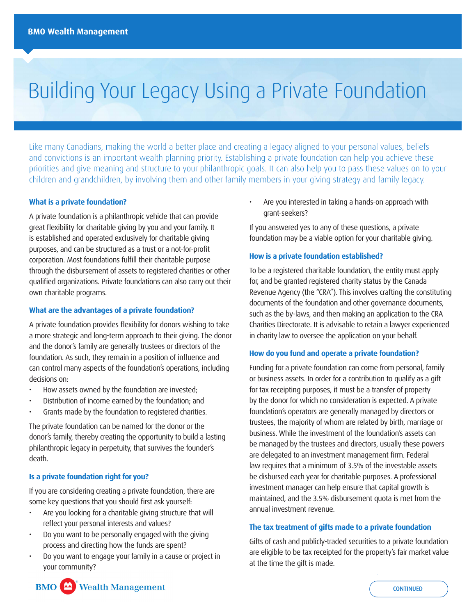# Building Your Legacy Using a Private Foundation

Like many Canadians, making the world a better place and creating a legacy aligned to your personal values, beliefs and convictions is an important wealth planning priority. Establishing a private foundation can help you achieve these priorities and give meaning and structure to your philanthropic goals. It can also help you to pass these values on to your children and grandchildren, by involving them and other family members in your giving strategy and family legacy.

## **What is a private foundation?**

A private foundation is a philanthropic vehicle that can provide great flexibility for charitable giving by you and your family. It is established and operated exclusively for charitable giving purposes, and can be structured as a trust or a not-for-profit corporation. Most foundations fulfill their charitable purpose through the disbursement of assets to registered charities or other qualified organizations. Private foundations can also carry out their own charitable programs.

### **What are the advantages of a private foundation?**

A private foundation provides flexibility for donors wishing to take a more strategic and long-term approach to their giving. The donor and the donor's family are generally trustees or directors of the foundation. As such, they remain in a position of influence and can control many aspects of the foundation's operations, including decisions on:

- How assets owned by the foundation are invested;
- Distribution of income earned by the foundation; and
- Grants made by the foundation to registered charities.

The private foundation can be named for the donor or the donor's family, thereby creating the opportunity to build a lasting philanthropic legacy in perpetuity, that survives the founder's death.

## **Is a private foundation right for you?**

If you are considering creating a private foundation, there are some key questions that you should first ask yourself:

- Are you looking for a charitable giving structure that will reflect your personal interests and values?
- Do you want to be personally engaged with the giving process and directing how the funds are spent?
- Do you want to engage your family in a cause or project in your community?

• Are you interested in taking a hands-on approach with grant-seekers?

If you answered yes to any of these questions, a private foundation may be a viable option for your charitable giving.

## **How is a private foundation established?**

To be a registered charitable foundation, the entity must apply for, and be granted registered charity status by the Canada Revenue Agency (the "CRA"). This involves crafting the constituting documents of the foundation and other governance documents, such as the by-laws, and then making an application to the CRA Charities Directorate. It is advisable to retain a lawyer experienced in charity law to oversee the application on your behalf.

#### **How do you fund and operate a private foundation?**

Funding for a private foundation can come from personal, family or business assets. In order for a contribution to qualify as a gift for tax receipting purposes, it must be a transfer of property by the donor for which no consideration is expected. A private foundation's operators are generally managed by directors or trustees, the majority of whom are related by birth, marriage or business. While the investment of the foundation's assets can be managed by the trustees and directors, usually these powers are delegated to an investment management firm. Federal law requires that a minimum of 3.5% of the investable assets be disbursed each year for charitable purposes. A professional investment manager can help ensure that capital growth is maintained, and the 3.5% disbursement quota is met from the annual investment revenue.

## **The tax treatment of gifts made to a private foundation**

Gifts of cash and publicly-traded securities to a private foundation are eligible to be tax receipted for the property's fair market value at the time the gift is made.



**CONTINUED**